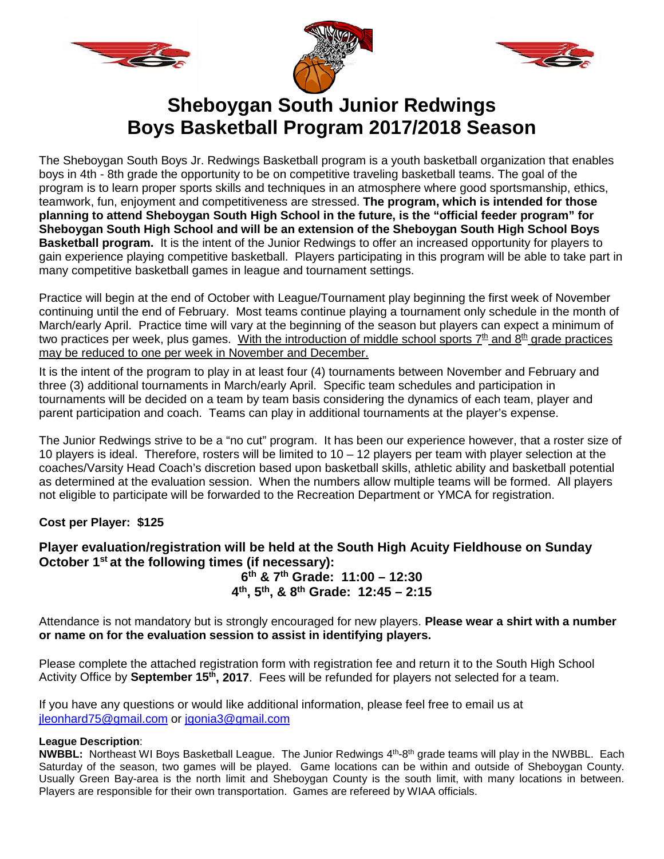





# **Sheboygan South Junior Redwings Boys Basketball Program 2017/2018 Season**

The Sheboygan South Boys Jr. Redwings Basketball program is a youth basketball organization that enables boys in 4th - 8th grade the opportunity to be on competitive traveling basketball teams. The goal of the program is to learn proper sports skills and techniques in an atmosphere where good sportsmanship, ethics, teamwork, fun, enjoyment and competitiveness are stressed. **The program, which is intended for those planning to attend Sheboygan South High School in the future, is the "official feeder program" for Sheboygan South High School and will be an extension of the Sheboygan South High School Boys Basketball program.** It is the intent of the Junior Redwings to offer an increased opportunity for players to gain experience playing competitive basketball. Players participating in this program will be able to take part in many competitive basketball games in league and tournament settings.

Practice will begin at the end of October with League/Tournament play beginning the first week of November continuing until the end of February. Most teams continue playing a tournament only schedule in the month of March/early April. Practice time will vary at the beginning of the season but players can expect a minimum of two practices per week, plus games. With the introduction of middle school sports 7<sup>th</sup> and 8<sup>th</sup> grade practices may be reduced to one per week in November and December.

It is the intent of the program to play in at least four (4) tournaments between November and February and three (3) additional tournaments in March/early April. Specific team schedules and participation in tournaments will be decided on a team by team basis considering the dynamics of each team, player and parent participation and coach. Teams can play in additional tournaments at the player's expense.

The Junior Redwings strive to be a "no cut" program. It has been our experience however, that a roster size of 10 players is ideal. Therefore, rosters will be limited to 10 – 12 players per team with player selection at the coaches/Varsity Head Coach's discretion based upon basketball skills, athletic ability and basketball potential as determined at the evaluation session. When the numbers allow multiple teams will be formed. All players not eligible to participate will be forwarded to the Recreation Department or YMCA for registration.

**Cost per Player: \$125**

### **Player evaluation/registration will be held at the South High Acuity Fieldhouse on Sunday October 1st at the following times (if necessary):**

### **6th & 7th Grade: 11:00 – 12:30 4th, 5th, & 8th Grade: 12:45 – 2:15**

Attendance is not mandatory but is strongly encouraged for new players. **Please wear a shirt with a number or name on for the evaluation session to assist in identifying players.**

Please complete the attached registration form with registration fee and return it to the South High School Activity Office by **September 15th, 2017**. Fees will be refunded for players not selected for a team.

If you have any questions or would like additional information, please feel free to email us at [jleonhard75@gmail.com](mailto:jleonhard75@gmail.com) or [jgonia3@gmail.com](mailto:jgonia3@gmail.com)

#### **League Description**:

**NWBBL:** Northeast WI Boys Basketball League. The Junior Redwings 4th-8th grade teams will play in the NWBBL. Each Saturday of the season, two games will be played. Game locations can be within and outside of Sheboygan County. Usually Green Bay-area is the north limit and Sheboygan County is the south limit, with many locations in between. Players are responsible for their own transportation. Games are refereed by WIAA officials.